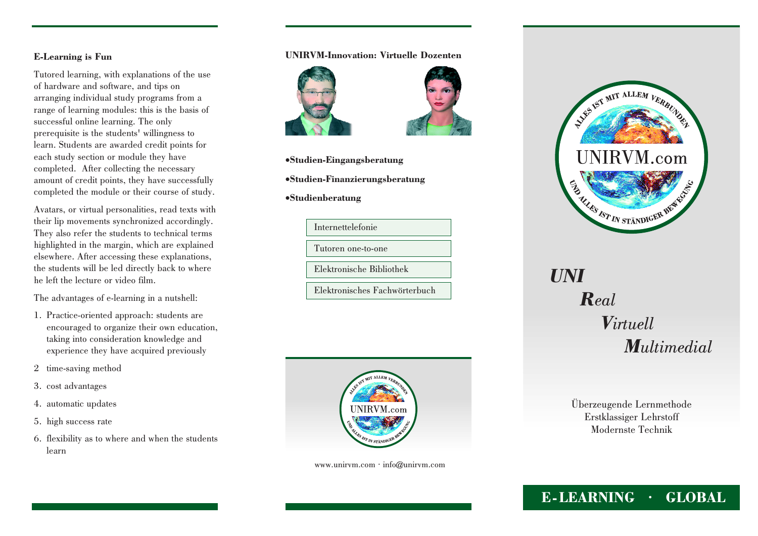## **E-Learning is Fun**

Tutored learning, with explanations of the useof hardware and software, and tips on arranging individual study programs from a range of learning modules: this is the basis ofsuccessful online learning. The only prerequisite is the students' willingness to learn. Students are awarded credit points foreach study section or module they have completed. After collecting the necessary amount of credit points, they have successfullycompleted the module or their course of study.

Avatars, or virtual personalities, read texts with their lip movements synchronized accordingly. They also refer the students to technical terms highlighted in the margin, which are explained elsewhere. After accessing these explanations, the students will be led directly back to wherehe left the lecture or video film.

The advantages of e-learning in a nutshell:

- 1. Practice-oriented approach: students are encouraged to organize their own education,taking into consideration knowledge andexperience they have acquired previously
- <sup>2</sup> time-saving method
- 3. cost advantages
- 4. automatic updates
- 5. high success rate
- 6. flexibility as to where and when the studentslearn

## **UNIRVM-Innovation: Virtuelle Dozenten**





- ·**Studien-Eingangsberatung**
- ·**Studien-Finanzierungsberatung**
- ·**Studienberatung**





www.unirvm.com · info@unirvm.com



## *UNIRealVirtuellMultimedial*

Überzeugende LernmethodeErstklassiger LehrstoffModernste Technik

## **E-LEARNING · GLOBAL**